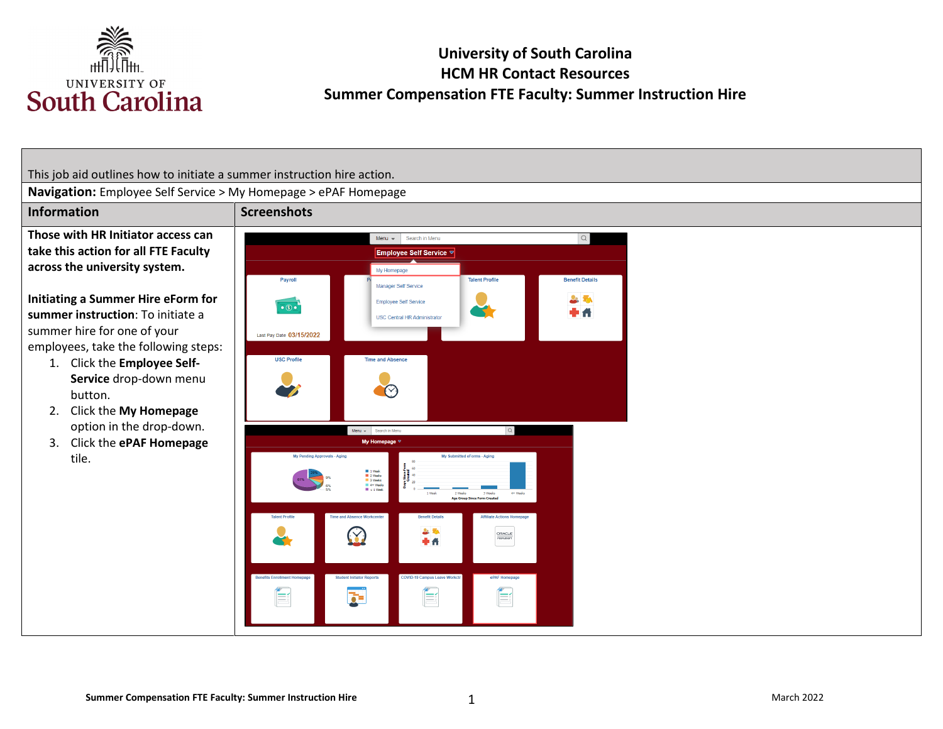

# **University of South Carolina HCM HR Contact Resources Summer Compensation FTE Faculty: Summer Instruction Hire**

This job aid outlines how to initiate a summer instruction hire action. **Navigation:** Employee Self Service > My Homepage > ePAF Homepage **Information** Screenshots **Those with HR Initiator access can**  Menu  $\star$  Search in Menu  $\begin{array}{c} Q \end{array}$ **take this action for all FTE Faculty**  Employee Self Service ▽ **across the university system.**  My Homepage Payroll **Talent Profile Benefit Details** Manager Self Service **Initiating a Summer Hire eForm for**  立義 Employee Self Service  $\overline{\cdot \circ \cdot}$  $\mathbf{r}$ 0 A **summer instruction**: To initiate a **USC Central HR Administrator** summer hire for one of your Last Pay Date 03/15/2022 employees, take the following steps: **USC Profile Time and Absence** 1. Click the **Employee Self-Service** drop-down menu  $\curvearrowright$ button. 2. Click the **My Homepage**  option in the drop-down. Menu v Search in Men 3. Click the **ePAF Homepage**  My Homepage  $\triangledown$ tile. itted eForms - Aging ■ 1 Week<br>■ 2 Weeks<br>■ 3 Weeks<br>■ 4+ Week<br>■ < 1 Week 上取  $\heartsuit$ 中作  $\begin{tabular}{|c|c|c|} \hline \quad \quad & \quad \quad & \quad \quad \\ \hline \quad \quad & \quad \quad & \quad \quad \\ \hline \quad \quad & \quad \quad & \quad \quad \\ \hline \quad \quad & \quad \quad & \quad \quad \\ \hline \quad \quad & \quad \quad & \quad \quad \\ \hline \quad \quad & \quad \quad & \quad \quad \\ \hline \quad \quad & \quad \quad & \quad \quad \\ \hline \quad \quad & \quad \quad & \quad \quad \\ \hline \quad \quad & \quad \quad & \quad \quad \\ \hline \quad \quad & \quad \quad & \quad \quad \\ \hline \quad \quad & \quad \quad & \quad \quad \\ \hline \quad \quad &$ E É  $\overline{\mathbf{r}}$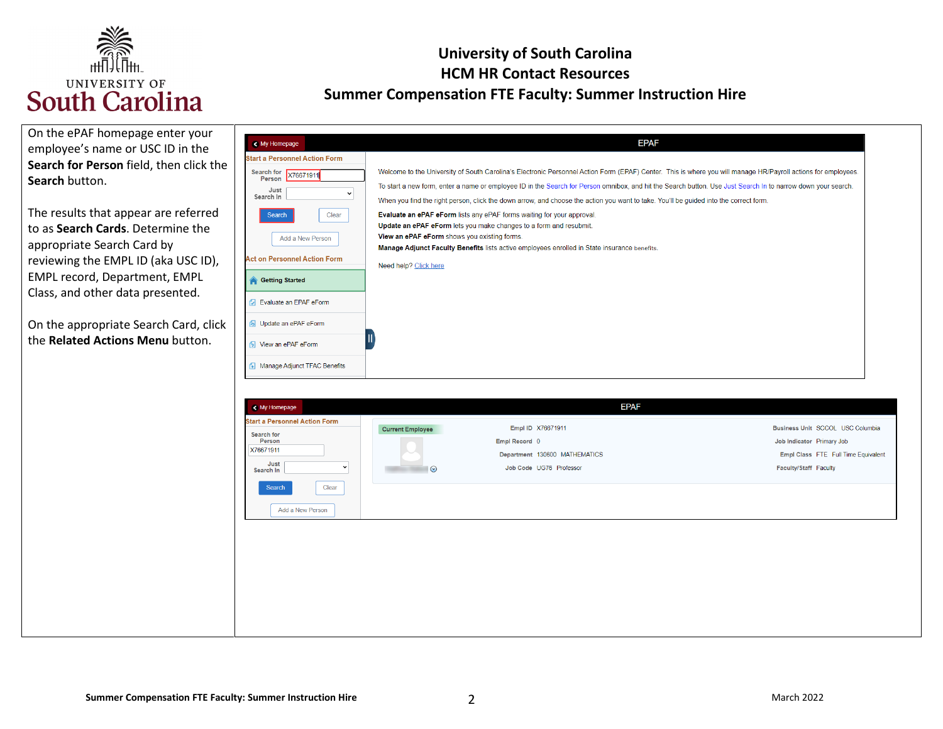

| On the ePAF homepage enter your<br>employee's name or USC ID in the<br>Search for Person field, then click the<br>Search button.<br>The results that appear are referred<br>to as Search Cards. Determine the<br>appropriate Search Card by<br>reviewing the EMPL ID (aka USC ID),<br>EMPL record, Department, EMPL<br>Class, and other data presented.<br>On the appropriate Search Card, click<br>the Related Actions Menu button. | < My Homepage<br><b>Start a Personnel Action Form</b><br>Search for X76671911<br>Person<br>Just<br>$\checkmark$<br>Search In<br>Clear<br>Search<br>Add a New Person<br><b>Act on Personnel Action Form</b><br><b>Getting Started</b><br><b>D</b> Evaluate an EPAF eForm<br><b>6</b> Update an ePAF eForm<br>S View an ePAF eForm | <b>EPAF</b><br>Welcome to the University of South Carolina's Electronic Personnel Action Form (EPAF) Center. This is where you will manage HR/Payroll actions for employees.<br>To start a new form, enter a name or employee ID in the Search for Person omnibox, and hit the Search button. Use Just Search In to narrow down your search.<br>When you find the right person, click the down arrow, and choose the action you want to take. You'll be guided into the correct form<br>Evaluate an ePAF eForm lists any ePAF forms waiting for your approval.<br>Update an ePAF eForm lets you make changes to a form and resubmit.<br>View an ePAF eForm shows you existing forms.<br>Manage Adjunct Faculty Benefits lists active employees enrolled in State insurance benefits.<br>Need help? Click here |                                                                                                                               |
|--------------------------------------------------------------------------------------------------------------------------------------------------------------------------------------------------------------------------------------------------------------------------------------------------------------------------------------------------------------------------------------------------------------------------------------|----------------------------------------------------------------------------------------------------------------------------------------------------------------------------------------------------------------------------------------------------------------------------------------------------------------------------------|---------------------------------------------------------------------------------------------------------------------------------------------------------------------------------------------------------------------------------------------------------------------------------------------------------------------------------------------------------------------------------------------------------------------------------------------------------------------------------------------------------------------------------------------------------------------------------------------------------------------------------------------------------------------------------------------------------------------------------------------------------------------------------------------------------------|-------------------------------------------------------------------------------------------------------------------------------|
|                                                                                                                                                                                                                                                                                                                                                                                                                                      | Manage Adjunct TFAC Benefits<br>< My Homepage<br><b>Start a Personnel Action Form</b><br>Search for<br>Person<br>X76671911<br>Just<br>$\check{ }$<br>Search In<br>Clear<br>Search<br>Add a New Person                                                                                                                            | <b>EPAF</b><br>Empl ID X76671911<br><b>Current Employee</b><br>Empl Record 0<br>Department 130600 MATHEMATICS<br>Job Code UG76 Professor<br>$\odot$                                                                                                                                                                                                                                                                                                                                                                                                                                                                                                                                                                                                                                                           | Business Unit SCCOL USC Columbia<br>Job Indicator Primary Job<br>Empl Class FTE Full Time Equivalent<br>Faculty/Staff Faculty |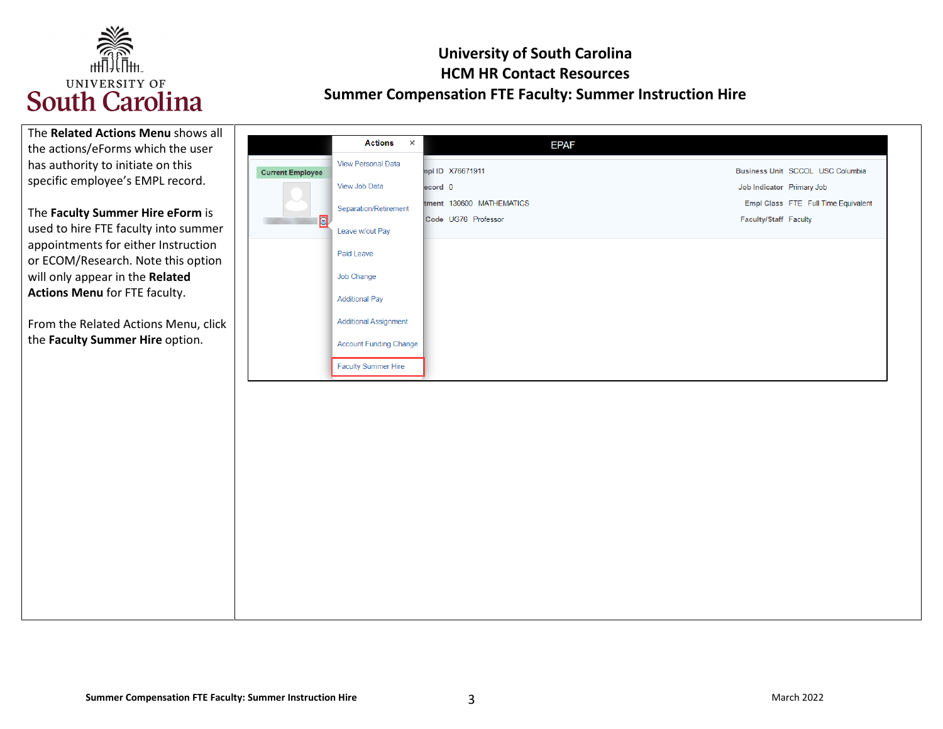

| The Related Actions Menu shows all   |                         |                               |                          |                                     |
|--------------------------------------|-------------------------|-------------------------------|--------------------------|-------------------------------------|
| the actions/eForms which the user    |                         | <b>Actions</b><br>$\times$    | <b>EPAF</b>              |                                     |
| has authority to initiate on this    | <b>Current Employee</b> | <b>View Personal Data</b>     | mpl ID X76671911         | Business Unit SCCOL USC Columbia    |
| specific employee's EMPL record.     |                         | View Job Data                 | ecord 0                  | Job Indicator Primary Job           |
|                                      |                         | Separation/Retirement         | tment 130600 MATHEMATICS | Empl Class FTE Full Time Equivalent |
| The Faculty Summer Hire eForm is     | $\overline{S}$          |                               | Code UG76 Professor      | Faculty/Staff Faculty               |
| used to hire FTE faculty into summer |                         | Leave w/out Pay               |                          |                                     |
| appointments for either Instruction  |                         | Paid Leave                    |                          |                                     |
| or ECOM/Research. Note this option   |                         | Job Change                    |                          |                                     |
| will only appear in the Related      |                         |                               |                          |                                     |
| <b>Actions Menu for FTE faculty.</b> |                         | <b>Additional Pay</b>         |                          |                                     |
| From the Related Actions Menu, click |                         | <b>Additional Assignment</b>  |                          |                                     |
| the Faculty Summer Hire option.      |                         | <b>Account Funding Change</b> |                          |                                     |
|                                      |                         |                               |                          |                                     |
|                                      |                         | <b>Faculty Summer Hire</b>    |                          |                                     |
|                                      |                         |                               |                          |                                     |
|                                      |                         |                               |                          |                                     |
|                                      |                         |                               |                          |                                     |
|                                      |                         |                               |                          |                                     |
|                                      |                         |                               |                          |                                     |
|                                      |                         |                               |                          |                                     |
|                                      |                         |                               |                          |                                     |
|                                      |                         |                               |                          |                                     |
|                                      |                         |                               |                          |                                     |
|                                      |                         |                               |                          |                                     |
|                                      |                         |                               |                          |                                     |
|                                      |                         |                               |                          |                                     |
|                                      |                         |                               |                          |                                     |
|                                      |                         |                               |                          |                                     |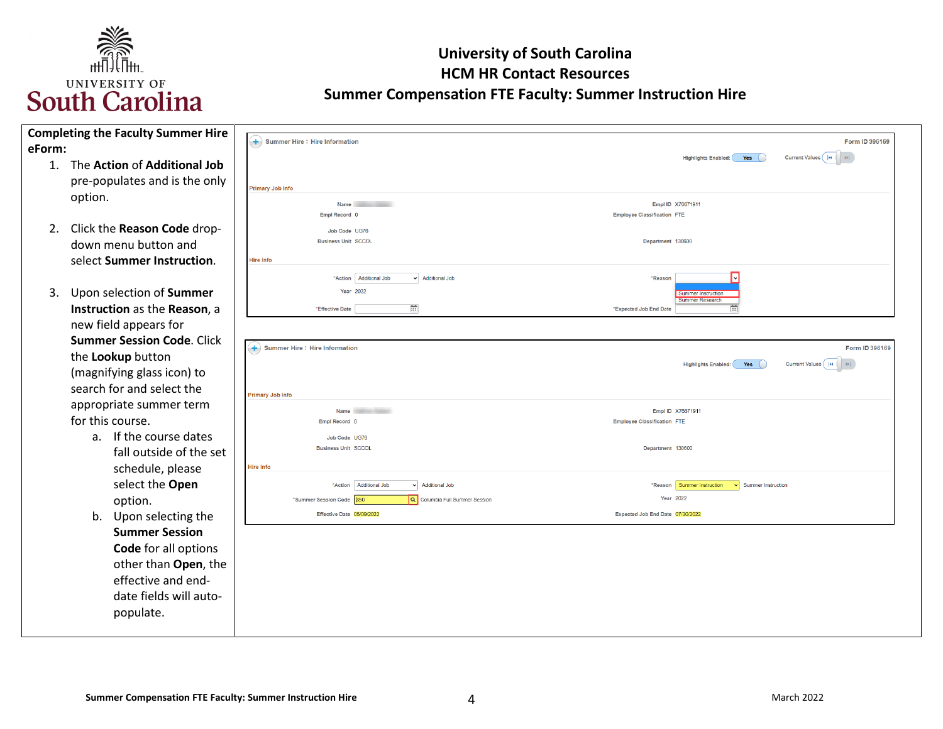

| <b>Completing the Faculty Summer Hire</b><br>eForm:                                                                                                         | $\left(\frac{1}{2}\right)$ Summer Hire : Hire Information                                                | Form ID 396169                                                                                               |
|-------------------------------------------------------------------------------------------------------------------------------------------------------------|----------------------------------------------------------------------------------------------------------|--------------------------------------------------------------------------------------------------------------|
| The Action of Additional Job<br>1.<br>pre-populates and is the only<br>option.                                                                              | <b>Primary Job Info</b><br><b>Name</b>                                                                   | Current Values    4 <br>$\vert \mathbf{H} \vert$<br><b>Highlights Enabled:</b><br>Yes (<br>Empl ID X76671911 |
| Click the Reason Code drop-<br>2.<br>down menu button and<br>select Summer Instruction.                                                                     | Empl Record 0<br>Job Code UG76<br><b>Business Unit SCCOL</b><br>Hire Info                                | <b>Employee Classification FTE</b><br>Department 130600                                                      |
| 3.<br>Upon selection of Summer<br>Instruction as the Reason, a<br>new field appears for                                                                     | "Action   Additional Job<br>v Additional Job<br><b>Year 2022</b><br>曲<br>*Effective Date                 | *Reason<br><b>Summer Instruction</b><br><b>Summer Research</b><br>曲<br>*Expected Job End Date                |
| <b>Summer Session Code. Click</b><br>the Lookup button<br>(magnifying glass icon) to<br>search for and select the                                           | $\left( +\right)$ Summer Hire : Hire Information<br><b>Primary Job Info</b>                              | Form ID 396169<br>Current Values (14          <br><b>Highlights Enabled:</b><br>Yes                          |
| appropriate summer term<br>for this course.                                                                                                                 | <b>Name</b><br>Empl Record 0                                                                             | Empl ID X76671911<br><b>Employee Classification FTE</b>                                                      |
| If the course dates<br>a.<br>fall outside of the set<br>schedule, please                                                                                    | Job Code UG76<br><b>Business Unit SCCOL</b><br>Hire Info                                                 | Department 130600                                                                                            |
| select the Open<br>option.                                                                                                                                  | *Action Additional Job<br>v Additional Job<br>Q Columbia Full Summer Session<br>*Summer Session Code 8S0 | *Reason Summer Instruction<br>Summer Instruction<br>Year 2022                                                |
| b. Upon selecting the<br><b>Summer Session</b><br>Code for all options<br>other than Open, the<br>effective and end-<br>date fields will auto-<br>populate. | Effective Date 05/09/2022                                                                                | Expected Job End Date 07/30/2022                                                                             |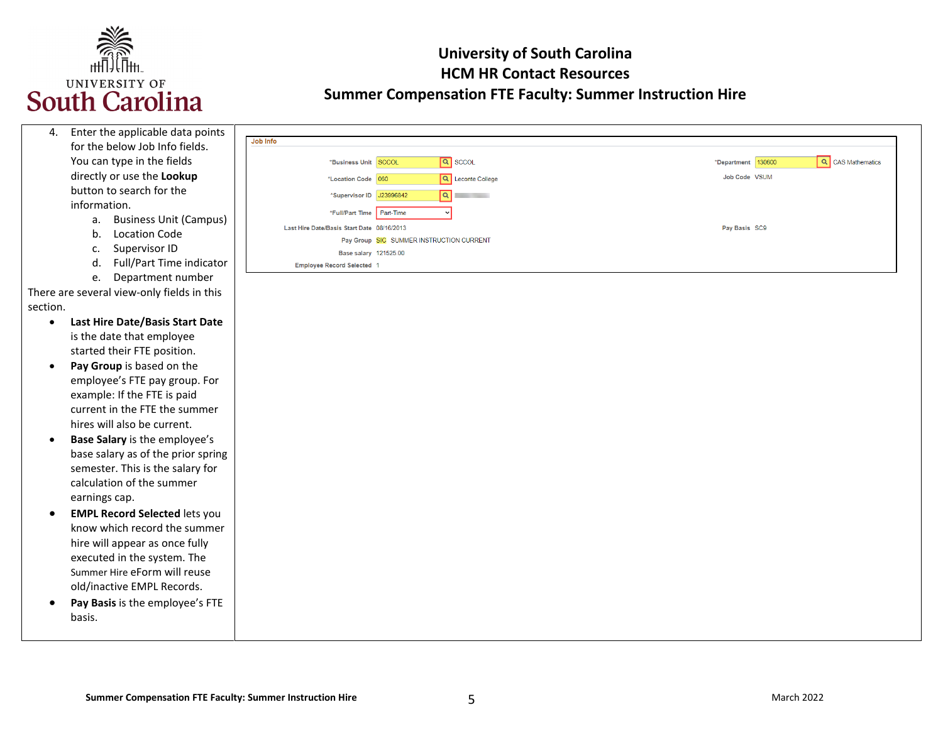

| 4.        | Enter the applicable data points           |                                            |                                         |
|-----------|--------------------------------------------|--------------------------------------------|-----------------------------------------|
|           | for the below Job Info fields.             | Job Info                                   |                                         |
|           | You can type in the fields                 | $\boxed{Q}$ sccol<br>*Business Unit SCCOL  | Q CAS Mathematics<br>*Department 130600 |
|           | directly or use the Lookup                 | Q Leconte College<br>*Location Code 060    | Job Code VSUM                           |
|           | button to search for the                   | a <br>*Supervisor ID J23996842             |                                         |
|           | information.                               | Part-Time<br>*Full/Part Time               |                                         |
|           | <b>Business Unit (Campus)</b><br>a.        | Last Hire Date/Basis Start Date 08/16/2013 | Pay Basis SC9                           |
|           | <b>Location Code</b><br>b.                 | Pay Group SIC SUMMER INSTRUCTION CURRENT   |                                         |
|           | Supervisor ID<br>c.                        | Base salary 121525.00                      |                                         |
|           | Full/Part Time indicator<br>d.             | <b>Employee Record Selected 1</b>          |                                         |
|           | Department number<br>e.                    |                                            |                                         |
|           | There are several view-only fields in this |                                            |                                         |
| section.  |                                            |                                            |                                         |
| $\bullet$ | Last Hire Date/Basis Start Date            |                                            |                                         |
|           | is the date that employee                  |                                            |                                         |
|           | started their FTE position.                |                                            |                                         |
| $\bullet$ | Pay Group is based on the                  |                                            |                                         |
|           | employee's FTE pay group. For              |                                            |                                         |
|           | example: If the FTE is paid                |                                            |                                         |
|           | current in the FTE the summer              |                                            |                                         |
|           | hires will also be current.                |                                            |                                         |
|           | Base Salary is the employee's              |                                            |                                         |
|           | base salary as of the prior spring         |                                            |                                         |
|           | semester. This is the salary for           |                                            |                                         |
|           | calculation of the summer                  |                                            |                                         |
|           | earnings cap.                              |                                            |                                         |
|           | <b>EMPL Record Selected lets you</b>       |                                            |                                         |
|           | know which record the summer               |                                            |                                         |
|           | hire will appear as once fully             |                                            |                                         |
|           | executed in the system. The                |                                            |                                         |
|           | Summer Hire eForm will reuse               |                                            |                                         |
|           | old/inactive EMPL Records.                 |                                            |                                         |
|           | Pay Basis is the employee's FTE            |                                            |                                         |
|           | basis.                                     |                                            |                                         |
|           |                                            |                                            |                                         |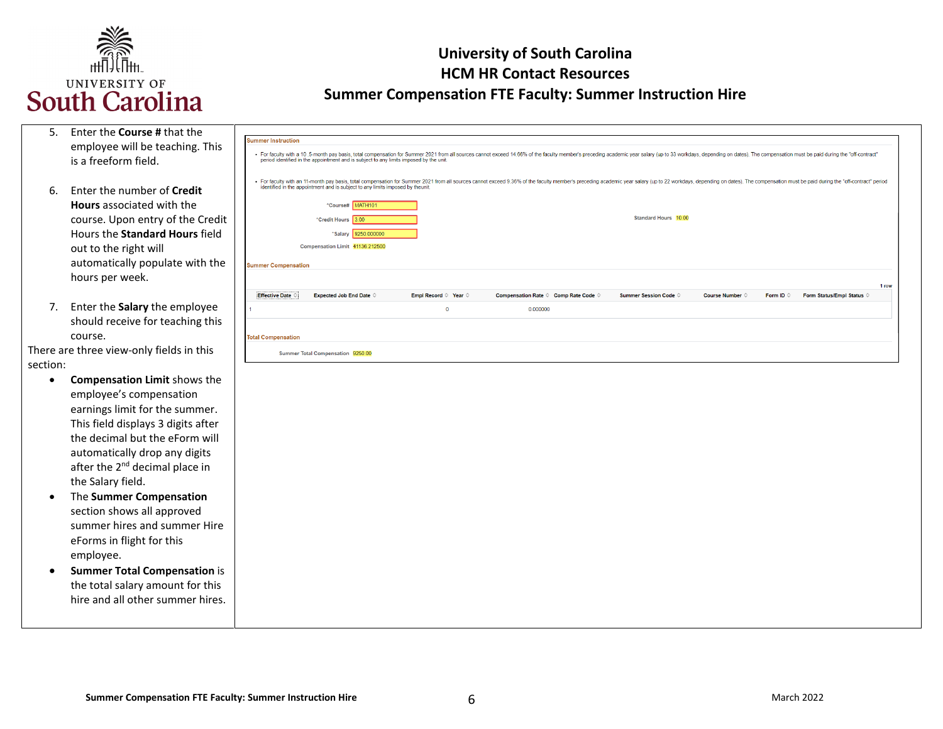

| 5.        | Enter the Course # that the                |                                                                                                                                                                                                                                                                                                                          |
|-----------|--------------------------------------------|--------------------------------------------------------------------------------------------------------------------------------------------------------------------------------------------------------------------------------------------------------------------------------------------------------------------------|
|           | employee will be teaching. This            | ummer Instruction                                                                                                                                                                                                                                                                                                        |
|           | is a freeform field.                       | · For faculty with a 10.5-month pay basis, total compensation for Summer 2021 from all sources cannot exceed 14.66% of the faculty member's preceding academic year salary (up to 33 workdays, depending on dates). The compen<br>period identified in the appointment and is subject to any limits imposed by the unit. |
|           |                                            |                                                                                                                                                                                                                                                                                                                          |
|           | Enter the number of Credit                 | · For faculty with an 11-month pay basis, total compensation for Summer 2021 from all sources cannot exceed 9.36% of the faculty member's preceding academic year salary (up to 22 workdays, depending on dates). The compensa<br>identified in the appointment and is subject to any limits imposed by theunit.         |
| 6.        |                                            |                                                                                                                                                                                                                                                                                                                          |
|           | <b>Hours</b> associated with the           | *Course# MATH101                                                                                                                                                                                                                                                                                                         |
|           | course. Upon entry of the Credit           | <b>Standard Hours 10.00</b><br>"Credit Hours 3.00                                                                                                                                                                                                                                                                        |
|           | Hours the Standard Hours field             | *Salary 9250.000000                                                                                                                                                                                                                                                                                                      |
|           | out to the right will                      | Compensation Limit 41136.212500                                                                                                                                                                                                                                                                                          |
|           | automatically populate with the            | <b>Summer Compensation</b>                                                                                                                                                                                                                                                                                               |
|           | hours per week.                            |                                                                                                                                                                                                                                                                                                                          |
|           |                                            | 1 row<br><b>Effective Date C</b><br>Expected Job End Date $\Diamond$<br>Empl Record © Year ©<br>Compensation Rate © Comp Rate Code ©<br><b>Summer Session Code ©</b><br>Form Status/Empl Status ©<br><b>Course Number ©</b><br>Form ID 0                                                                                 |
| 7.        | Enter the Salary the employee              | $\overline{0}$<br>0.000000                                                                                                                                                                                                                                                                                               |
|           | should receive for teaching this           |                                                                                                                                                                                                                                                                                                                          |
|           | course.                                    | <b>Total Compensation</b>                                                                                                                                                                                                                                                                                                |
|           | There are three view-only fields in this   |                                                                                                                                                                                                                                                                                                                          |
| section:  |                                            | Summer Total Compensation 9250.00                                                                                                                                                                                                                                                                                        |
|           |                                            |                                                                                                                                                                                                                                                                                                                          |
| $\bullet$ | <b>Compensation Limit shows the</b>        |                                                                                                                                                                                                                                                                                                                          |
|           | employee's compensation                    |                                                                                                                                                                                                                                                                                                                          |
|           | earnings limit for the summer.             |                                                                                                                                                                                                                                                                                                                          |
|           | This field displays 3 digits after         |                                                                                                                                                                                                                                                                                                                          |
|           | the decimal but the eForm will             |                                                                                                                                                                                                                                                                                                                          |
|           | automatically drop any digits              |                                                                                                                                                                                                                                                                                                                          |
|           | after the 2 <sup>nd</sup> decimal place in |                                                                                                                                                                                                                                                                                                                          |
|           | the Salary field.                          |                                                                                                                                                                                                                                                                                                                          |
| $\bullet$ | The Summer Compensation                    |                                                                                                                                                                                                                                                                                                                          |
|           | section shows all approved                 |                                                                                                                                                                                                                                                                                                                          |
|           | summer hires and summer Hire               |                                                                                                                                                                                                                                                                                                                          |
|           | eForms in flight for this                  |                                                                                                                                                                                                                                                                                                                          |
|           |                                            |                                                                                                                                                                                                                                                                                                                          |
|           | employee.                                  |                                                                                                                                                                                                                                                                                                                          |
| $\bullet$ | <b>Summer Total Compensation is</b>        |                                                                                                                                                                                                                                                                                                                          |
|           | the total salary amount for this           |                                                                                                                                                                                                                                                                                                                          |
|           | hire and all other summer hires.           |                                                                                                                                                                                                                                                                                                                          |
|           |                                            |                                                                                                                                                                                                                                                                                                                          |
|           |                                            |                                                                                                                                                                                                                                                                                                                          |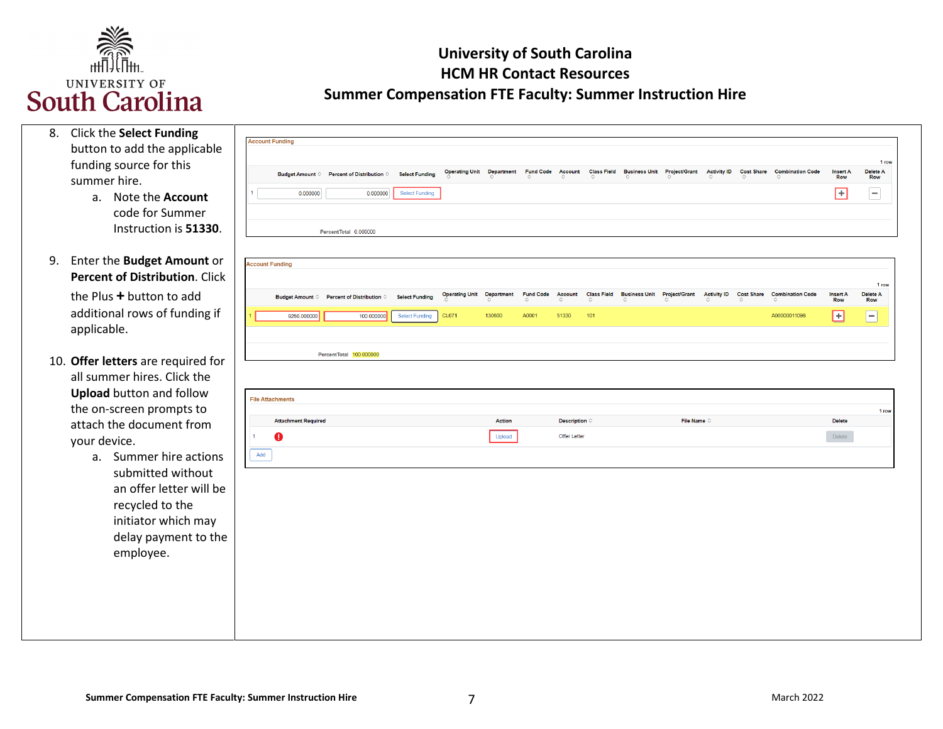

| 8. | <b>Click the Select Funding</b><br>button to add the applicable<br>funding source for this<br>summer hire.<br>Note the Account<br>a.<br>code for Summer<br>Instruction is 51330. | <b>Account Funding</b><br>0.000000                         | Budget Amount © Percent of Distribution ©<br>0.000000<br>PercentTotal 0.000000 | <b>Select Funding</b><br><b>Select Funding</b> |                                       |                             |                           |                                        |                           | Operating Unit Department Fund Code Account Class Field Business Unit Project/Grant |                      | <b>Activity ID</b> | <b>Cost Share</b> | <b>Combination Code</b>                 | <b>Insert A</b><br><b>Row</b><br>$\blacksquare$ | 1 row<br>Delete A<br>Row<br>$\equiv$ |
|----|----------------------------------------------------------------------------------------------------------------------------------------------------------------------------------|------------------------------------------------------------|--------------------------------------------------------------------------------|------------------------------------------------|---------------------------------------|-----------------------------|---------------------------|----------------------------------------|---------------------------|-------------------------------------------------------------------------------------|----------------------|--------------------|-------------------|-----------------------------------------|-------------------------------------------------|--------------------------------------|
| 9. | Enter the Budget Amount or<br>Percent of Distribution. Click                                                                                                                     | <b>Account Funding</b>                                     |                                                                                |                                                |                                       |                             |                           |                                        |                           |                                                                                     |                      |                    |                   |                                         |                                                 | 1 row                                |
|    | the Plus + button to add<br>additional rows of funding if<br>applicable.                                                                                                         | 9250.000000                                                | Budget Amount ♡ Percent of Distribution ♡<br>100.000000                        | <b>Select Funding</b><br><b>Select Funding</b> | <b>Operating Unit</b><br><b>CL071</b> | <b>Department</b><br>130600 | <b>Fund Code</b><br>A0001 | <b>Account</b><br>51330                | <b>Class Field</b><br>101 | Business Unit Project/Grant Activity ID Cost Share                                  |                      |                    |                   | <b>Combination Code</b><br>A00000011096 | <b>Insert A</b><br>Row<br>⊡                     | Delete A<br>Row<br>$\equiv$          |
|    | 10. Offer letters are required for<br>all summer hires. Click the<br><b>Upload</b> button and follow<br>the on-screen prompts to<br>attach the document from<br>your device.     | <b>File Attachments</b><br><b>Attachment Required</b><br>o | PercentTotal 100,000000                                                        |                                                |                                       | Action<br>Upload            |                           | Description $\Diamond$<br>Offer Letter |                           |                                                                                     | File Name $\diamond$ |                    |                   |                                         | <b>Delete</b><br>Delete                         | 1 row                                |
|    | Summer hire actions<br>a.<br>submitted without<br>an offer letter will be<br>recycled to the<br>initiator which may<br>delay payment to the<br>employee.                         | Add                                                        |                                                                                |                                                |                                       |                             |                           |                                        |                           |                                                                                     |                      |                    |                   |                                         |                                                 |                                      |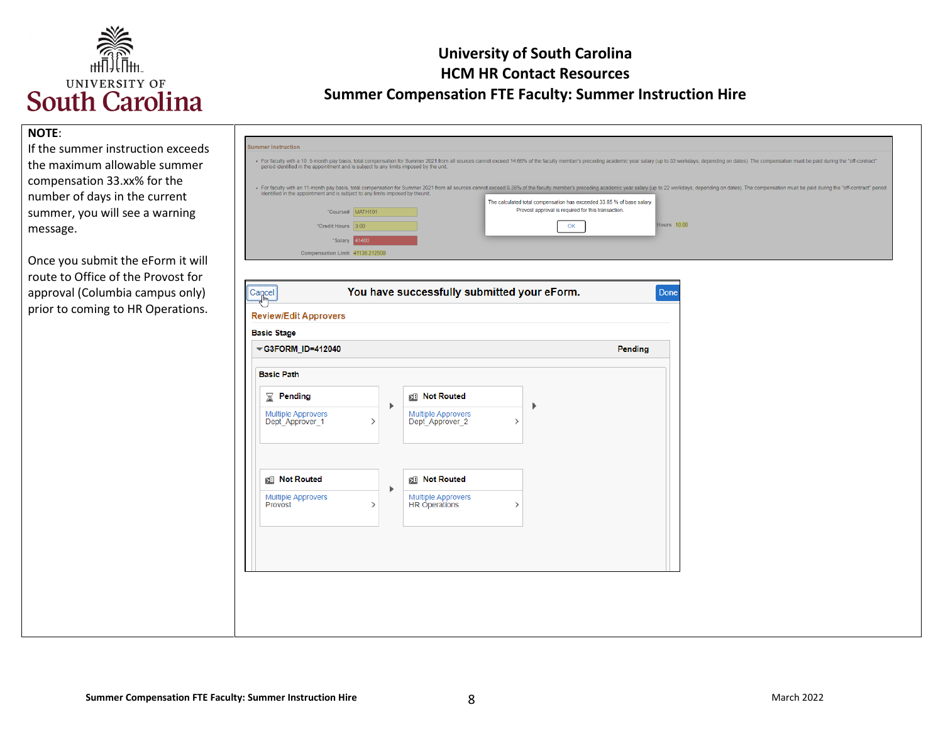

#### **NOTE**:

 compensation 33.xx% for the summer, you will see a warning If the summer instruction exceeds the maximum allowable summer number of days in the current message.

 Once you submit the eForm it will route to Office of the Provost for approval (Columbia campus only) prior to coming to HR Operations.

| <b>Summer Instruction</b>                                                      |                                                                                        |                                                                                                                              |                                                                                                                                                                                                                                |
|--------------------------------------------------------------------------------|----------------------------------------------------------------------------------------|------------------------------------------------------------------------------------------------------------------------------|--------------------------------------------------------------------------------------------------------------------------------------------------------------------------------------------------------------------------------|
|                                                                                | period identified in the appointment and is subject to any limits imposed by the unit. |                                                                                                                              | · For faculty with a 10.5-month pay basis, total compensation for Summer 2021 from all sources cannot exceed 14,66% of the faculty member's preceding academic year salary (up to 33 workdays, depending on dates). The compen |
| identified in the appointment and is subject to any limits imposed by theunit. |                                                                                        | The calculated total compensation has exceeded 33.85 % of base salary.<br>Provost approval is required for this transaction. | · For faculty with an 11-month pay basis, total compensation for Summer 2021 from all sources cannot exceed 9.36% of the faculty member's preceding academic year salary (up to 22 workdays, depending on dates). The compensa |
|                                                                                | *Course# MATH101                                                                       |                                                                                                                              |                                                                                                                                                                                                                                |
| *Credit Hours 300                                                              |                                                                                        |                                                                                                                              | Hours 10.00                                                                                                                                                                                                                    |
| *Salary 41400                                                                  |                                                                                        |                                                                                                                              |                                                                                                                                                                                                                                |
| Compensation Limit 41136.212500                                                |                                                                                        |                                                                                                                              |                                                                                                                                                                                                                                |

| G3FORM_ID=412040                             |                    |                                                               | Pending |
|----------------------------------------------|--------------------|---------------------------------------------------------------|---------|
| <b>Basic Path</b>                            |                    |                                                               |         |
| Pending<br>X.                                | Þ                  | <b>Not Routed</b><br>Þ                                        |         |
| <b>Multiple Approvers</b><br>Dept_Approver_1 | $\rightarrow$      | <b>Multiple Approvers</b><br>Dept_Approver_2<br>$\rightarrow$ |         |
| <b>Not Routed</b>                            |                    | <b>RED</b> Not Routed                                         |         |
| <b>Multiple Approvers</b><br>Provost         | Þ<br>$\rightarrow$ | <b>Multiple Approvers</b><br>HR Operations<br>$\rightarrow$   |         |
|                                              |                    |                                                               |         |
|                                              |                    |                                                               |         |